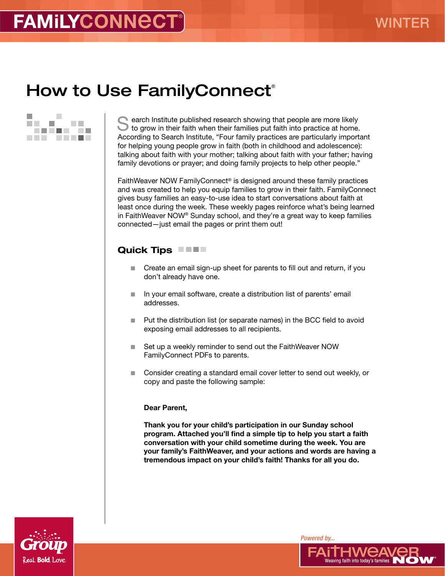# How to Use FamilyConnect<sup>®</sup>



earch Institute published research showing that people are more likely Ito grow in their faith when their families put faith into practice at home. According to Search Institute, "Four family practices are particularly important for helping young people grow in faith (both in childhood and adolescence): talking about faith with your mother; talking about faith with your father; having family devotions or prayer; and doing family projects to help other people."

FaithWeaver NOW FamilyConnect® is designed around these family practices and was created to help you equip families to grow in their faith. FamilyConnect gives busy families an easy-to-use idea to start conversations about faith at least once during the week. These weekly pages reinforce what's being learned in FaithWeaver NOW® Sunday school, and they're a great way to keep families connected—just email the pages or print them out!

### Quick Tips **No. 1.1.**

- Create an email sign-up sheet for parents to fill out and return, if you don't already have one.
- In your email software, create a distribution list of parents' email addresses.
- $\blacksquare$  Put the distribution list (or separate names) in the BCC field to avoid exposing email addresses to all recipients.
- Set up a weekly reminder to send out the FaithWeaver NOW FamilyConnect PDFs to parents.
- Consider creating a standard email cover letter to send out weekly, or copy and paste the following sample:

#### Dear Parent,

Thank you for your child's participation in our Sunday school program. Attached you'll find a simple tip to help you start a faith conversation with your child sometime during the week. You are your family's FaithWeaver, and your actions and words are having a tremendous impact on your child's faith! Thanks for all you do.



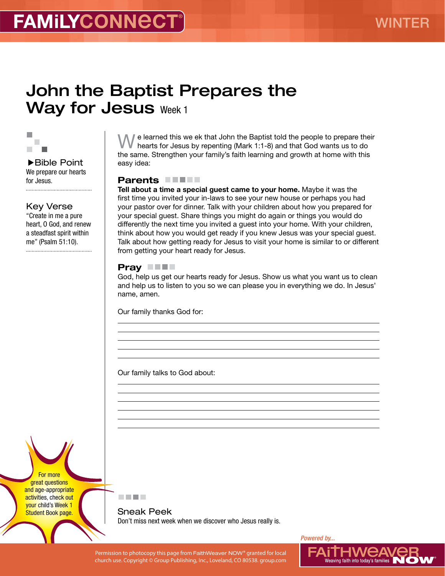# John the Baptist Prepares the Way for Jesus Week 1



▶Bible Point We prepare our hearts for Jesus.

......................................

Key Verse

"Create in me a pure heart, O God, and renew a steadfast spirit within me" (Psalm 51:10).

e learned this we ek that John the Baptist told the people to prepare their hearts for Jesus by repenting (Mark 1:1-8) and that God wants us to do the same. Strengthen your family's faith learning and growth at home with this easy idea:

#### Parents **No. 1.1.**

Tell about a time a special guest came to your home. Maybe it was the first time you invited your in-laws to see your new house or perhaps you had your pastor over for dinner. Talk with your children about how you prepared for your special guest. Share things you might do again or things you would do differently the next time you invited a guest into your home. With your children, think about how you would get ready if you knew Jesus was your special guest. Talk about how getting ready for Jesus to visit your home is similar to or different from getting your heart ready for Jesus.

### Pray **THE**

God, help us get our hearts ready for Jesus. Show us what you want us to clean and help us to listen to you so we can please you in everything we do. In Jesus' name, amen.

Our family thanks God for:

Our family talks to God about:

For more great questions and age-appropriate activities, check out your child's Week 1 **Student Book page.** 



Sneak Peek Don't miss next week when we discover who Jesus really is.

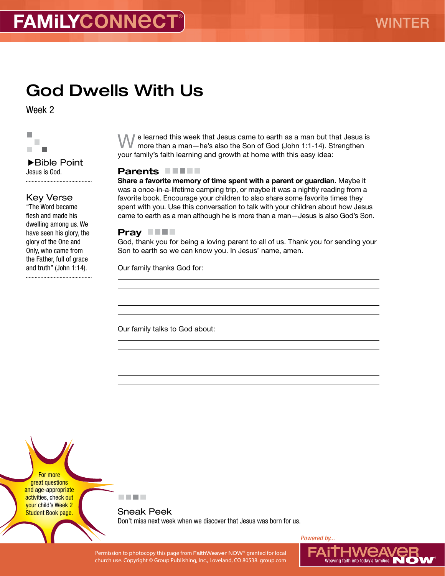# God Dwells With Us

Week 2



#### Bible Point Jesus is God.

## Key Verse

"The Word became flesh and made his dwelling among us. We have seen his glory, the glory of the One and Only, who came from the Father, full of grace and truth" (John 1:14). 

We learned this week that Jesus came to earth as a man but that Jesus is more than a man—he's also the Son of God (John 1:1-14). Strengthen your family's faith learning and growth at home with this easy idea:

### Parents **Fernan**

Share a favorite memory of time spent with a parent or guardian. Maybe it was a once-in-a-lifetime camping trip, or maybe it was a nightly reading from a favorite book. Encourage your children to also share some favorite times they spent with you. Use this conversation to talk with your children about how Jesus came to earth as a man although he is more than a man—Jesus is also God's Son.

#### Pray **THE**

God, thank you for being a loving parent to all of us. Thank you for sending your Son to earth so we can know you. In Jesus' name, amen.

Our family thanks God for:

Our family talks to God about:

For more great questions and age-appropriate activities, check out your child's Week 2 **Student Book page.** 



Sneak Peek Don't miss next week when we discover that Jesus was born for us.

Permission to photocopy this page from FaithWeaver NOW® granted for local  $\blacksquare$   $\blacksquare$   $\blacksquare$   $\blacksquare$   $\blacksquare$   $\blacksquare$   $\blacksquare$   $\blacksquare$   $\blacksquare$   $\blacksquare$   $\blacksquare$   $\blacksquare$   $\blacksquare$   $\blacksquare$   $\blacksquare$   $\blacksquare$   $\blacksquare$   $\blacksquare$   $\blacksquare$   $\blacksquare$   $\blacksquare$  church use. Copyright © Group Publishing, Inc., Loveland, CO 80538. group.com

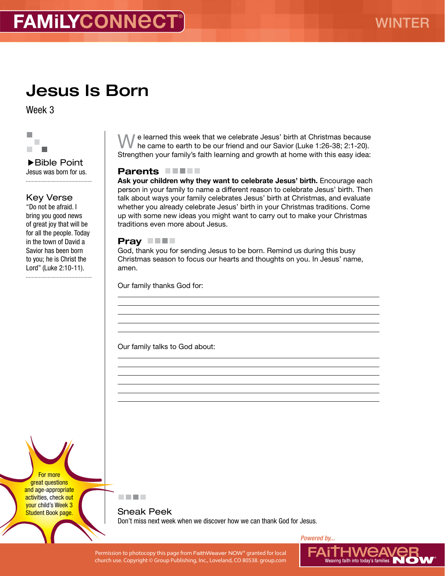# Jesus Is Born

Week 3



Bible Point Jesus was born for us. 

## Key Verse

"Do not be afraid. I bring you good news of great joy that will be for all the people. Today in the town of David a Savior has been born to you; he is Christ the Lord" (Luke 2:10-11). 

We learned this week that we celebrate Jesus' birth at Christmas because he came to earth to be our friend and our Savior (Luke 1:26-38; 2:1-20). Strengthen your family's faith learning and growth at home with this easy idea:

### Parents **FIFT**

Ask your children why they want to celebrate Jesus' birth. Encourage each person in your family to name a different reason to celebrate Jesus' birth. Then talk about ways your family celebrates Jesus' birth at Christmas, and evaluate whether you already celebrate Jesus' birth in your Christmas traditions. Come up with some new ideas you might want to carry out to make your Christmas traditions even more about Jesus.

#### Pray **THE**

God, thank you for sending Jesus to be born. Remind us during this busy Christmas season to focus our hearts and thoughts on you. In Jesus' name, amen.

Our family thanks God for:

Our family talks to God about:

For more great questions and age-appropriate activities, check out your child's Week 3 **Student Book page.** 

医血管肌

Sneak Peek Don't miss next week when we discover how we can thank God for Jesus.

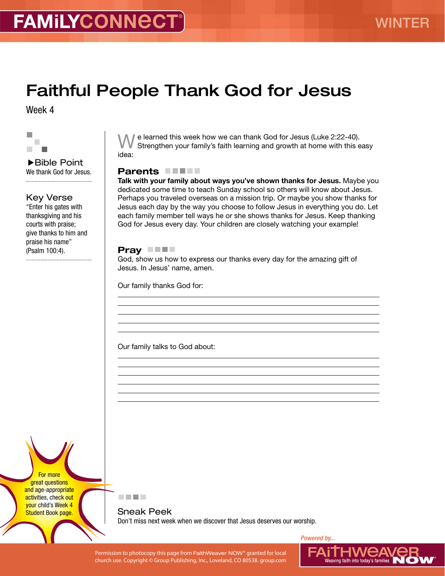# Faithful People Thank God for Jesus

Week 4



Bible Point We thank God for Jesus. 

### Key Verse

"Enter his gates with thanksgiving and his courts with praise; give thanks to him and praise his name" (Psalm 100:4).

■ e learned this week how we can thank God for Jesus (Luke 2:22-40). Strengthen your family's faith learning and growth at home with this easy idea:

### Parents **FIFT**

Talk with your family about ways you've shown thanks for Jesus. Maybe you dedicated some time to teach Sunday school so others will know about Jesus. Perhaps you traveled overseas on a mission trip. Or maybe you show thanks for Jesus each day by the way you choose to follow Jesus in everything you do. Let each family member tell ways he or she shows thanks for Jesus. Keep thanking God for Jesus every day. Your children are closely watching your example!

### Pray **THE**

God, show us how to express our thanks every day for the amazing gift of Jesus. In Jesus' name, amen.

Our family thanks God for:

Our family talks to God about:

For more great questions and age-appropriate activities, check out your child's Week 4 **Student Book page.** 

医血管肌

Sneak Peek Don't miss next week when we discover that Jesus deserves our worship.

Permission to photocopy this page from FaithWeaver NOW® granted for local  $\blacksquare$   $\blacksquare$   $\blacksquare$   $\blacksquare$   $\blacksquare$   $\blacksquare$   $\blacksquare$   $\blacksquare$   $\blacksquare$   $\blacksquare$   $\blacksquare$   $\blacksquare$   $\blacksquare$   $\blacksquare$   $\blacksquare$   $\blacksquare$   $\blacksquare$   $\blacksquare$   $\blacksquare$   $\blacksquare$   $\blacksquare$  church use. Copyright © Group Publishing, Inc., Loveland, CO 80538. group.com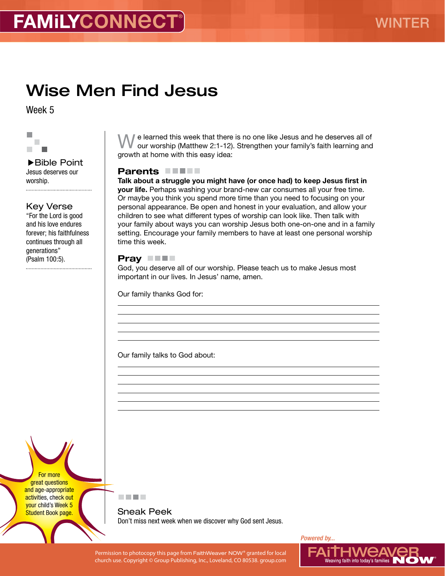# Wise Men Find Jesus

Week 5



▶Bible Point Jesus deserves our worship. 

### Key Verse

"For the Lord is good and his love endures forever; his faithfulness continues through all generations" (Psalm 100:5).

We learned this week that there is no one like Jesus and he deserves all of our worship (Matthew 2:1-12). Strengthen your family's faith learning and growth at home with this easy idea:

## Parents **FIFT**

Talk about a struggle you might have (or once had) to keep Jesus first in your life. Perhaps washing your brand-new car consumes all your free time. Or maybe you think you spend more time than you need to focusing on your personal appearance. Be open and honest in your evaluation, and allow your children to see what different types of worship can look like. Then talk with your family about ways you can worship Jesus both one-on-one and in a family setting. Encourage your family members to have at least one personal worship time this week.

### Pray **THE**

God, you deserve all of our worship. Please teach us to make Jesus most important in our lives. In Jesus' name, amen.

Our family thanks God for:

Our family talks to God about:

For more great questions and age-appropriate activities, check out your child's Week 5 **Student Book page.** 



Sneak Peek Don't miss next week when we discover why God sent Jesus.

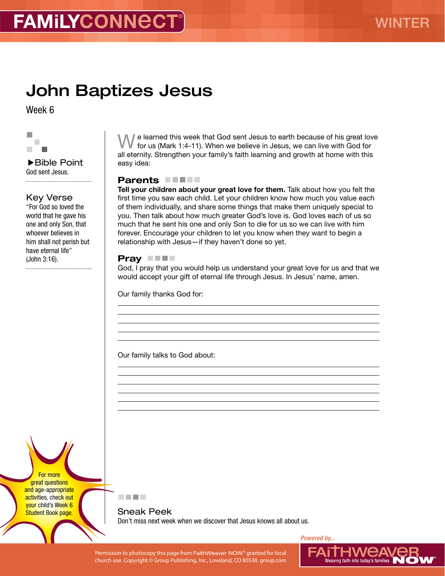# John Baptizes Jesus

Week 6



Bible Point God sent Jesus. 

## Key Verse

"For God so loved the world that he gave his one and only Son, that whoever believes in him shall not perish but have eternal life" (John 3:16).

■ e learned this week that God sent Jesus to earth because of his great love for us (Mark 1:4-11). When we believe in Jesus, we can live with God for all eternity. Strengthen your family's faith learning and growth at home with this easy idea:

#### Parents

Tell your children about your great love for them. Talk about how you felt the first time you saw each child. Let your children know how much you value each of them individually, and share some things that make them uniquely special to you. Then talk about how much greater God's love is. God loves each of us so much that he sent his one and only Son to die for us so we can live with him forever. Encourage your children to let you know when they want to begin a relationship with Jesus—if they haven't done so yet.

### Pray **THE**

God, I pray that you would help us understand your great love for us and that we would accept your gift of eternal life through Jesus. In Jesus' name, amen.

Our family thanks God for:

Our family talks to God about:

For more great questions and age-appropriate activities, check out your child's Week 6 **Student Book page.** 



Sneak Peek Don't miss next week when we discover that Jesus knows all about us.

Permission to photocopy this page from FaithWeaver NOW® granted for local  $\blacksquare$   $\blacksquare$   $\blacksquare$   $\blacksquare$   $\blacksquare$   $\blacksquare$   $\blacksquare$   $\blacksquare$   $\blacksquare$   $\blacksquare$   $\blacksquare$   $\blacksquare$   $\blacksquare$   $\blacksquare$   $\blacksquare$   $\blacksquare$   $\blacksquare$   $\blacksquare$   $\blacksquare$   $\blacksquare$   $\blacksquare$  church use. Copyright © Group Publishing, Inc., Loveland, CO 80538. group.com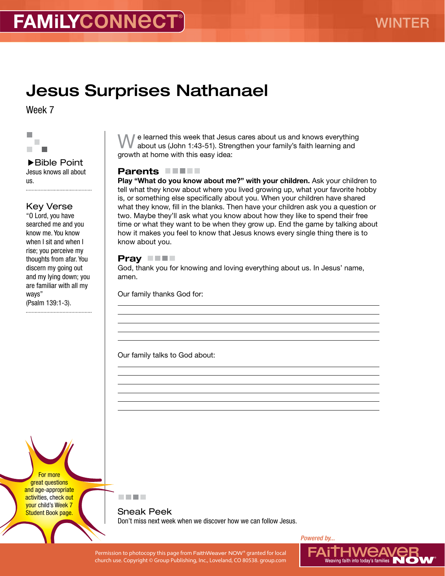# Jesus Surprises Nathanael

Week 7



▶ Bible Point Jesus knows all about us. 

## Key Verse

"O Lord, you have searched me and you know me. You know when I sit and when I rise; you perceive my thoughts from afar. You discern my going out and my lying down; you are familiar with all my ways" (Psalm 139:1-3).

 $\blacksquare$  e learned this week that Jesus cares about us and knows everything about us (John 1:43-51). Strengthen your family's faith learning and growth at home with this easy idea:

### Parents **No. 15 No. 16 No. 16 No. 16 No. 16 No. 16 No. 16 No. 16 No. 16 No. 16 No. 16 No. 16 No. 16 No. 16 No. 16 No. 16 No. 16 No. 16 No. 16 No. 16 No. 16 No. 16 No. 16 No. 16 No. 16 No. 16 No. 16 No. 16 No. 16 No. 16 No.**

Play "What do you know about me?" with your children. Ask your children to tell what they know about where you lived growing up, what your favorite hobby is, or something else specifically about you. When your children have shared what they know, fill in the blanks. Then have your children ask you a question or two. Maybe they'll ask what you know about how they like to spend their free time or what they want to be when they grow up. End the game by talking about how it makes you feel to know that Jesus knows every single thing there is to know about you.

### Pray **THE**

God, thank you for knowing and loving everything about us. In Jesus' name, amen.

Our family thanks God for:

Our family talks to God about:

For more great questions and age-appropriate activities, check out your child's Week 7 **Student Book page.** 

医血管肌

Sneak Peek Don't miss next week when we discover how we can follow Jesus.

Permission to photocopy this page from FaithWeaver NOW® granted for local  $\blacksquare$   $\blacksquare$   $\blacksquare$   $\blacksquare$   $\blacksquare$   $\blacksquare$   $\blacksquare$   $\blacksquare$   $\blacksquare$   $\blacksquare$   $\blacksquare$   $\blacksquare$   $\blacksquare$   $\blacksquare$   $\blacksquare$   $\blacksquare$   $\blacksquare$   $\blacksquare$   $\blacksquare$   $\blacksquare$   $\blacksquare$  church use. Copyright © Group Publishing, Inc., Loveland, CO 80538. group.com

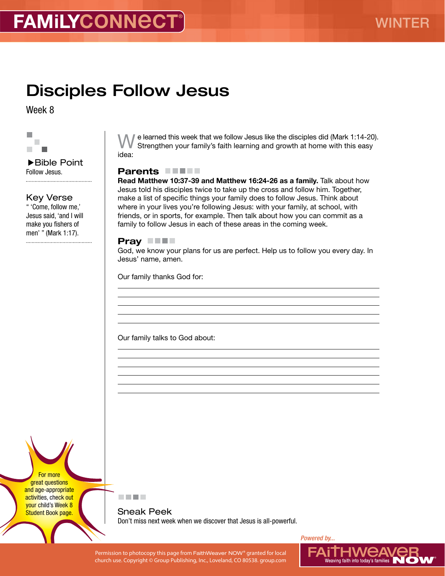# Disciples Follow Jesus

Week 8



#### ▶Bible Point Follow Jesus.

#### Key Verse

" 'Come, follow me,' Jesus said, 'and I will make you fishers of men' " (Mark 1:17).

e learned this week that we follow Jesus like the disciples did (Mark 1:14-20). Strengthen your family's faith learning and growth at home with this easy idea:

#### Parents **FIFT**

Read Matthew 10:37-39 and Matthew 16:24-26 as a family. Talk about how Jesus told his disciples twice to take up the cross and follow him. Together, make a list of specific things your family does to follow Jesus. Think about where in your lives you're following Jesus: with your family, at school, with friends, or in sports, for example. Then talk about how you can commit as a family to follow Jesus in each of these areas in the coming week.

#### Pray **THE**

God, we know your plans for us are perfect. Help us to follow you every day. In Jesus' name, amen.

Our family thanks God for:

Our family talks to God about:

For more great questions and age-appropriate activities, check out your child's Week 8 **Student Book page.** 



Sneak Peek Don't miss next week when we discover that Jesus is all-powerful.

Permission to photocopy this page from FaithWeaver NOW® granted for local  $\blacksquare$   $\blacksquare$   $\blacksquare$   $\blacksquare$   $\blacksquare$   $\blacksquare$   $\blacksquare$   $\blacksquare$   $\blacksquare$   $\blacksquare$   $\blacksquare$   $\blacksquare$   $\blacksquare$   $\blacksquare$   $\blacksquare$   $\blacksquare$   $\blacksquare$   $\blacksquare$   $\blacksquare$   $\blacksquare$   $\blacksquare$  church use. Copyright © Group Publishing, Inc., Loveland, CO 80538. group.com

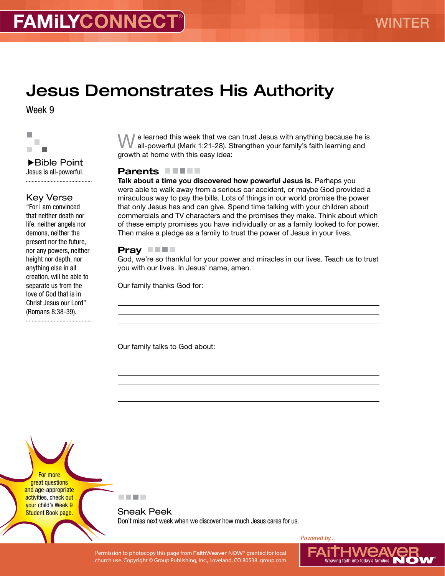# Jesus Demonstrates His Authority

Week 9



▶Bible Point Jesus is all-powerful. 

## Key Verse

"For I am convinced that neither death nor life, neither angels nor demons, neither the present nor the future, nor any powers, neither height nor depth, nor anything else in all creation, will be able to separate us from the love of God that is in Christ Jesus our Lord" (Romans 8:38-39).

We learned this week that we can trust Jesus with anything because he is all-powerful (Mark 1:21-28). Strengthen your family's faith learning and growth at home with this easy idea:

### Parents **FIFT**

Talk about a time you discovered how powerful Jesus is. Perhaps you were able to walk away from a serious car accident, or maybe God provided a miraculous way to pay the bills. Lots of things in our world promise the power that only Jesus has and can give. Spend time talking with your children about commercials and TV characters and the promises they make. Think about which of these empty promises you have individually or as a family looked to for power. Then make a pledge as a family to trust the power of Jesus in your lives.

#### Pray **THE**

God, we're so thankful for your power and miracles in our lives. Teach us to trust you with our lives. In Jesus' name, amen.

Our family thanks God for:

Our family talks to God about:

For more great questions and age-appropriate activities, check out your child's Week 9 **Student Book page.** 

医血管肌

Sneak Peek Don't miss next week when we discover how much Jesus cares for us.

Permission to photocopy this page from FaithWeaver NOW® granted for local  $\blacksquare$   $\blacksquare$   $\blacksquare$   $\blacksquare$   $\blacksquare$   $\blacksquare$   $\blacksquare$   $\blacksquare$   $\blacksquare$   $\blacksquare$   $\blacksquare$   $\blacksquare$   $\blacksquare$   $\blacksquare$   $\blacksquare$   $\blacksquare$   $\blacksquare$   $\blacksquare$   $\blacksquare$   $\blacksquare$   $\blacksquare$  church use. Copyright © Group Publishing, Inc., Loveland, CO 80538. group.com

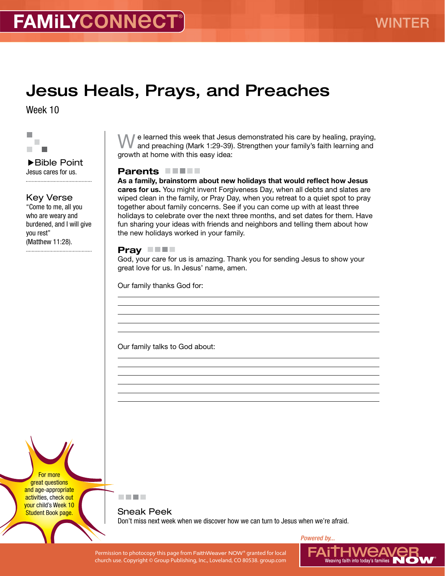# Jesus Heals, Prays, and Preaches

Week 10



▶Bible Point Jesus cares for us. 

### Key Verse

"Come to me, all you who are weary and burdened, and I will give you rest" (Matthew 11:28).

 $\blacksquare$  e learned this week that Jesus demonstrated his care by healing, praying, and preaching (Mark 1:29-39). Strengthen your family's faith learning and growth at home with this easy idea:

### Parents **FIFT**

As a family, brainstorm about new holidays that would reflect how Jesus cares for us. You might invent Forgiveness Day, when all debts and slates are wiped clean in the family, or Pray Day, when you retreat to a quiet spot to pray together about family concerns. See if you can come up with at least three holidays to celebrate over the next three months, and set dates for them. Have fun sharing your ideas with friends and neighbors and telling them about how the new holidays worked in your family.

#### Pray **THE**

God, your care for us is amazing. Thank you for sending Jesus to show your great love for us. In Jesus' name, amen.

Our family thanks God for:

Our family talks to God about:

For more great questions and age-appropriate activities, check out your child's Week 10 **Student Book page.** 



Sneak Peek Don't miss next week when we discover how we can turn to Jesus when we're afraid.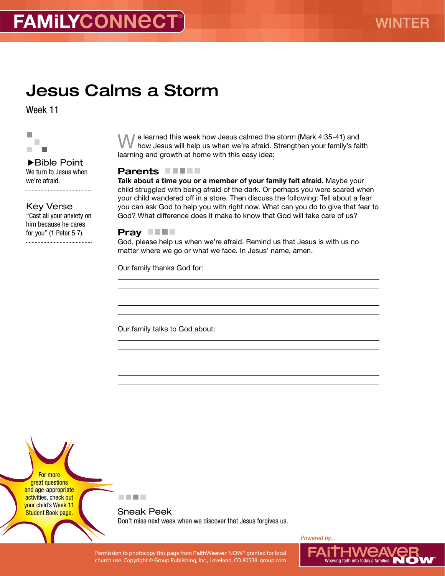# Jesus Calms a Storm

Week 11



Bible Point We turn to Jesus when we're afraid. 

Key Verse "Cast all your anxiety on him because he cares for you" (1 Peter 5:7).

 $\prime$  e learned this week how Jesus calmed the storm (Mark 4:35-41) and how Jesus will help us when we're afraid. Strengthen your family's faith learning and growth at home with this easy idea:

### Parents **FIFT**

Talk about a time you or a member of your family felt afraid. Maybe your child struggled with being afraid of the dark. Or perhaps you were scared when your child wandered off in a store. Then discuss the following: Tell about a fear you can ask God to help you with right now. What can you do to give that fear to God? What difference does it make to know that God will take care of us?

#### Pray **THE**

God, please help us when we're afraid. Remind us that Jesus is with us no matter where we go or what we face. In Jesus' name, amen.

Our family thanks God for:

Our family talks to God about:

For more great questions and age-appropriate activities, check out your child's Week 11 **Student Book page.** 



Sneak Peek Don't miss next week when we discover that Jesus forgives us.

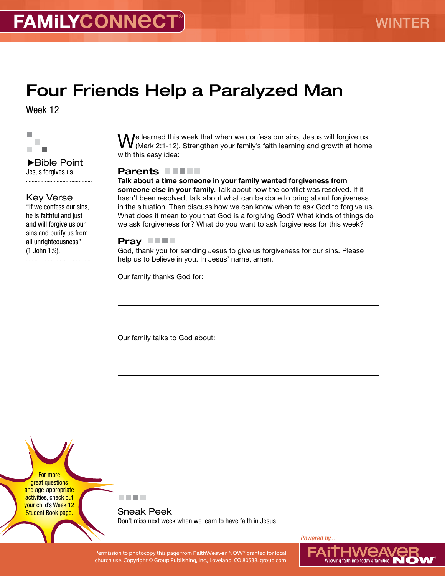# Four Friends Help a Paralyzed Man

Week 12



▶Bible Point Jesus forgives us. 

## Key Verse

"If we confess our sins, he is faithful and just and will forgive us our sins and purify us from all unrighteousness" (1 John 1:9).

We learned this week that when we confess our sins, Jesus will forgive us<br>W (Mark 2:1-12). Strengthen your family's faith learning and growth at home with this easy idea:

### Parents **FIFT**

Talk about a time someone in your family wanted forgiveness from someone else in your family. Talk about how the conflict was resolved. If it hasn't been resolved, talk about what can be done to bring about forgiveness in the situation. Then discuss how we can know when to ask God to forgive us. What does it mean to you that God is a forgiving God? What kinds of things do we ask forgiveness for? What do you want to ask forgiveness for this week?

#### Pray **THE**

God, thank you for sending Jesus to give us forgiveness for our sins. Please help us to believe in you. In Jesus' name, amen.

Our family thanks God for:

Our family talks to God about:

For more great questions and age-appropriate activities, check out your child's Week 12 **Student Book page.** 



Sneak Peek Don't miss next week when we learn to have faith in Jesus.